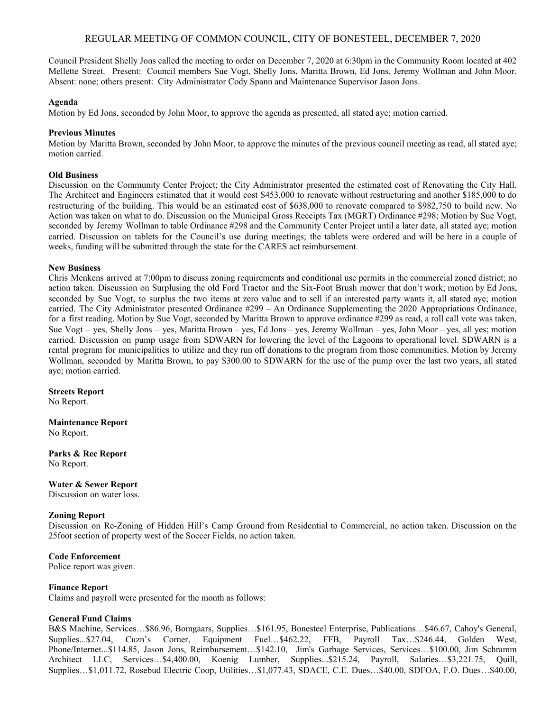# REGULAR MEETING OF COMMON COUNCIL, CITY OF BONESTEEL, DECEMBER 7, 2020

Council President Shelly Jons called the meeting to order on December 7, 2020 at 6:30pm in the Community Room located at 402 Mellette Street. Present: Council members Sue Vogt, Shelly Jons, Maritta Brown, Ed Jons, Jeremy Wollman and John Moor. Absent: none; others present: City Administrator Cody Spann and Maintenance Supervisor Jason Jons.

### **Agenda**

Motion by Ed Jons, seconded by John Moor, to approve the agenda as presented, all stated aye; motion carried.

# **Previous Minutes**

Motion by Maritta Brown, seconded by John Moor, to approve the minutes of the previous council meeting as read, all stated aye; motion carried.

### **Old Business**

Discussion on the Community Center Project; the City Administrator presented the estimated cost of Renovating the City Hall. The Architect and Engineers estimated that it would cost \$453,000 to renovate without restructuring and another \$185,000 to do restructuring of the building. This would be an estimated cost of \$638,000 to renovate compared to \$982,750 to build new. No Action was taken on what to do. Discussion on the Municipal Gross Receipts Tax (MGRT) Ordinance #298; Motion by Sue Vogt, seconded by Jeremy Wollman to table Ordinance #298 and the Community Center Project until a later date, all stated aye; motion carried. Discussion on tablets for the Council's use during meetings; the tablets were ordered and will be here in a couple of weeks, funding will be submitted through the state for the CARES act reimbursement.

# **New Business**

Chris Menkens arrived at 7:00pm to discuss zoning requirements and conditional use permits in the commercial zoned district; no action taken. Discussion on Surplusing the old Ford Tractor and the Six-Foot Brush mower that don't work; motion by Ed Jons, seconded by Sue Vogt, to surplus the two items at zero value and to sell if an interested party wants it, all stated aye; motion carried. The City Administrator presented Ordinance #299 – An Ordinance Supplementing the 2020 Appropriations Ordinance, for a first reading. Motion by Sue Vogt, seconded by Maritta Brown to approve ordinance #299 as read, a roll call vote was taken, Sue Vogt – yes, Shelly Jons – yes, Maritta Brown – yes, Ed Jons – yes, Jeremy Wollman – yes, John Moor – yes, all yes; motion carried. Discussion on pump usage from SDWARN for lowering the level of the Lagoons to operational level. SDWARN is a rental program for municipalities to utilize and they run off donations to the program from those communities. Motion by Jeremy Wollman, seconded by Maritta Brown, to pay \$300.00 to SDWARN for the use of the pump over the last two years, all stated aye; motion carried.

#### **Streets Report**

No Report.

**Maintenance Report** No Report.

**Parks & Rec Report** No Report.

#### **Water & Sewer Report**

Discussion on water loss.

#### **Zoning Report**

Discussion on Re-Zoning of Hidden Hill's Camp Ground from Residential to Commercial, no action taken. Discussion on the 25foot section of property west of the Soccer Fields, no action taken.

**Code Enforcement**

Police report was given.

#### **Finance Report**

Claims and payroll were presented for the month as follows:

# **General Fund Claims**

B&S Machine, Services…\$86.96, Bomgaars, Supplies…\$161.95, Bonesteel Enterprise, Publications…\$46.67, Cahoy's General, Supplies...\$27.04, Cuzn's Corner, Equipment Fuel...\$462.22, FFB, Payroll Tax...\$246.44, Golden West, Phone/Internet...\$114.85, Jason Jons, Reimbursement…\$142.10, Jim's Garbage Services, Services…\$100.00, Jim Schramm Architect LLC, Services…\$4,400.00, Koenig Lumber, Supplies...\$215.24, Payroll, Salaries…\$3,221.75, Quill, Supplies…\$1,011.72, Rosebud Electric Coop, Utilities…\$1,077.43, SDACE, C.E. Dues…\$40.00, SDFOA, F.O. Dues…\$40.00,